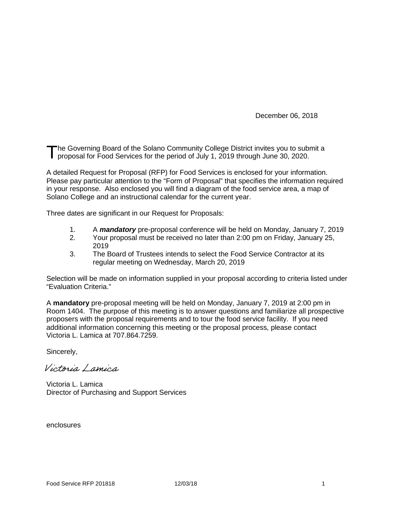December 06, 2018

he Governing Board of the Solano Community College District invites you to submit a proposal for Food Services for the period of July 1, 2019 through June 30, 2020. T

A detailed Request for Proposal (RFP) for Food Services is enclosed for your information. Please pay particular attention to the "Form of Proposal" that specifies the information required in your response. Also enclosed you will find a diagram of the food service area, a map of Solano College and an instructional calendar for the current year.

Three dates are significant in our Request for Proposals:

- 1. A **mandatory** pre-proposal conference will be held on Monday, January 7, 2019<br>2. Your proposal must be received no later than 2:00 pm on Friday. January 25.
- 2. Your proposal must be received no later than 2:00 pm on Friday, January 25, 2019
- 3. The Board of Trustees intends to select the Food Service Contractor at its regular meeting on Wednesday, March 20, 2019

Selection will be made on information supplied in your proposal according to criteria listed under "Evaluation Criteria."

A **mandatory** pre-proposal meeting will be held on Monday, January 7, 2019 at 2:00 pm in Room 1404. The purpose of this meeting is to answer questions and familiarize all prospective proposers with the proposal requirements and to tour the food service facility. If you need additional information concerning this meeting or the proposal process, please contact Victoria L. Lamica at 707.864.7259.

Sincerely,

Victoria Lamica

Victoria L. Lamica Director of Purchasing and Support Services

enclosures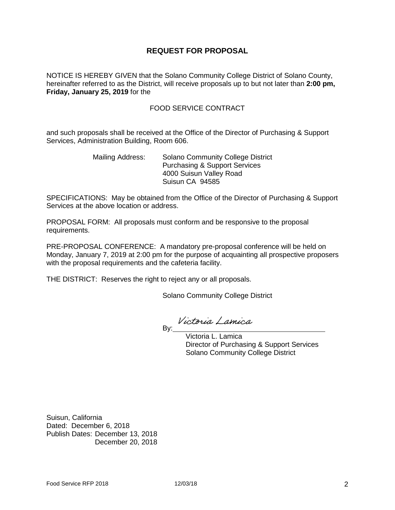## **REQUEST FOR PROPOSAL**

NOTICE IS HEREBY GIVEN that the Solano Community College District of Solano County, hereinafter referred to as the District, will receive proposals up to but not later than **2:00 pm, Friday, January 25, 2019** for the

#### FOOD SERVICE CONTRACT

and such proposals shall be received at the Office of the Director of Purchasing & Support Services, Administration Building, Room 606.

> Mailing Address: Solano Community College District Purchasing & Support Services 4000 Suisun Valley Road Suisun CA 94585

SPECIFICATIONS: May be obtained from the Office of the Director of Purchasing & Support Services at the above location or address.

PROPOSAL FORM: All proposals must conform and be responsive to the proposal requirements.

PRE-PROPOSAL CONFERENCE: A mandatory pre-proposal conference will be held on Monday, January 7, 2019 at 2:00 pm for the purpose of acquainting all prospective proposers with the proposal requirements and the cafeteria facility.

THE DISTRICT: Reserves the right to reject any or all proposals.

Solano Community College District

Victoria Lamica entitive to the control of the By:\_

 Victoria L. Lamica Director of Purchasing & Support Services Solano Community College District

Suisun, California Dated: December 6, 2018 Publish Dates: December 13, 2018 December 20, 2018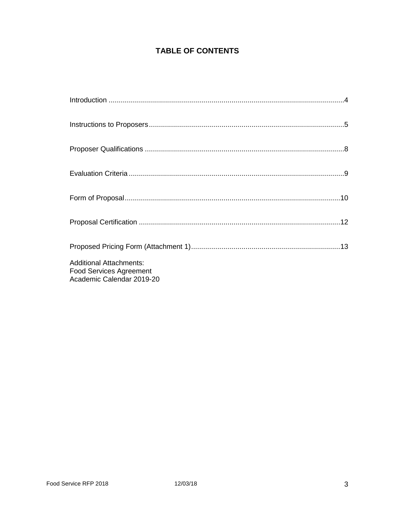## **TABLE OF CONTENTS**

| <b>Additional Attachments:</b><br><b>Food Services Agreement</b><br>Academic Calendar 2019-20 |  |
|-----------------------------------------------------------------------------------------------|--|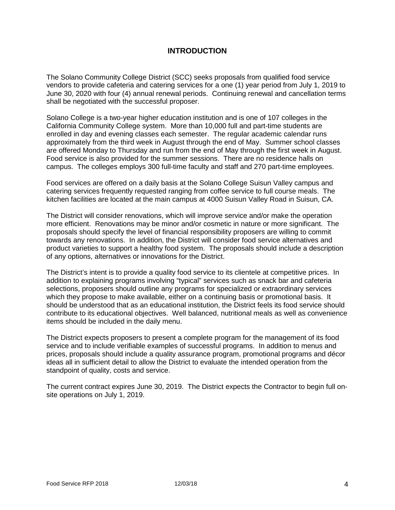## **INTRODUCTION**

The Solano Community College District (SCC) seeks proposals from qualified food service vendors to provide cafeteria and catering services for a one (1) year period from July 1, 2019 to June 30, 2020 with four (4) annual renewal periods. Continuing renewal and cancellation terms shall be negotiated with the successful proposer.

Solano College is a two-year higher education institution and is one of 107 colleges in the California Community College system. More than 10,000 full and part-time students are enrolled in day and evening classes each semester. The regular academic calendar runs approximately from the third week in August through the end of May. Summer school classes are offered Monday to Thursday and run from the end of May through the first week in August. Food service is also provided for the summer sessions. There are no residence halls on campus. The colleges employs 300 full-time faculty and staff and 270 part-time employees.

Food services are offered on a daily basis at the Solano College Suisun Valley campus and catering services frequently requested ranging from coffee service to full course meals. The kitchen facilities are located at the main campus at 4000 Suisun Valley Road in Suisun, CA.

The District will consider renovations, which will improve service and/or make the operation more efficient. Renovations may be minor and/or cosmetic in nature or more significant. The proposals should specify the level of financial responsibility proposers are willing to commit towards any renovations. In addition, the District will consider food service alternatives and product varieties to support a healthy food system. The proposals should include a description of any options, alternatives or innovations for the District.

The District's intent is to provide a quality food service to its clientele at competitive prices. In addition to explaining programs involving "typical" services such as snack bar and cafeteria selections, proposers should outline any programs for specialized or extraordinary services which they propose to make available, either on a continuing basis or promotional basis. It should be understood that as an educational institution, the District feels its food service should contribute to its educational objectives. Well balanced, nutritional meals as well as convenience items should be included in the daily menu.

The District expects proposers to present a complete program for the management of its food service and to include verifiable examples of successful programs. In addition to menus and prices, proposals should include a quality assurance program, promotional programs and décor ideas all in sufficient detail to allow the District to evaluate the intended operation from the standpoint of quality, costs and service.

The current contract expires June 30, 2019. The District expects the Contractor to begin full onsite operations on July 1, 2019.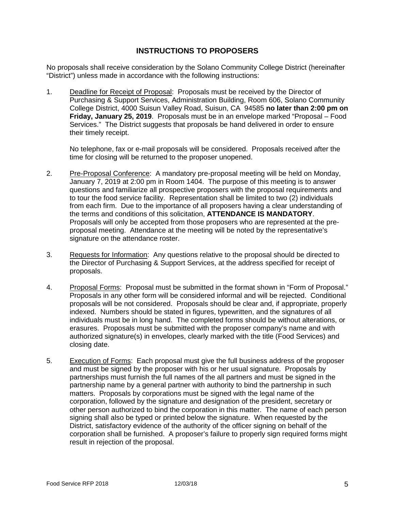## **INSTRUCTIONS TO PROPOSERS**

No proposals shall receive consideration by the Solano Community College District (hereinafter "District") unless made in accordance with the following instructions:

1. Deadline for Receipt of Proposal: Proposals must be received by the Director of Purchasing & Support Services, Administration Building, Room 606, Solano Community College District, 4000 Suisun Valley Road, Suisun, CA 94585 **no later than 2:00 pm on Friday, January 25, 2019**. Proposals must be in an envelope marked "Proposal – Food Services." The District suggests that proposals be hand delivered in order to ensure their timely receipt.

No telephone, fax or e-mail proposals will be considered. Proposals received after the time for closing will be returned to the proposer unopened.

- 2. Pre-Proposal Conference: A mandatory pre-proposal meeting will be held on Monday, January 7, 2019 at 2:00 pm in Room 1404. The purpose of this meeting is to answer questions and familiarize all prospective proposers with the proposal requirements and to tour the food service facility. Representation shall be limited to two (2) individuals from each firm. Due to the importance of all proposers having a clear understanding of the terms and conditions of this solicitation, **ATTENDANCE IS MANDATORY**. Proposals will only be accepted from those proposers who are represented at the preproposal meeting. Attendance at the meeting will be noted by the representative's signature on the attendance roster.
- 3. Requests for Information: Any questions relative to the proposal should be directed to the Director of Purchasing & Support Services, at the address specified for receipt of proposals.
- 4. Proposal Forms: Proposal must be submitted in the format shown in "Form of Proposal." Proposals in any other form will be considered informal and will be rejected. Conditional proposals will be not considered. Proposals should be clear and, if appropriate, properly indexed. Numbers should be stated in figures, typewritten, and the signatures of all individuals must be in long hand. The completed forms should be without alterations, or erasures. Proposals must be submitted with the proposer company's name and with authorized signature(s) in envelopes, clearly marked with the title (Food Services) and closing date.
- 5. Execution of Forms: Each proposal must give the full business address of the proposer and must be signed by the proposer with his or her usual signature. Proposals by partnerships must furnish the full names of the all partners and must be signed in the partnership name by a general partner with authority to bind the partnership in such matters. Proposals by corporations must be signed with the legal name of the corporation, followed by the signature and designation of the president, secretary or other person authorized to bind the corporation in this matter. The name of each person signing shall also be typed or printed below the signature. When requested by the District, satisfactory evidence of the authority of the officer signing on behalf of the corporation shall be furnished. A proposer's failure to properly sign required forms might result in rejection of the proposal.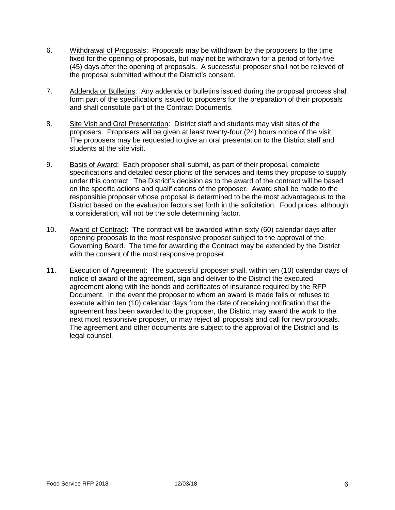- 6. Withdrawal of Proposals: Proposals may be withdrawn by the proposers to the time fixed for the opening of proposals, but may not be withdrawn for a period of forty-five (45) days after the opening of proposals. A successful proposer shall not be relieved of the proposal submitted without the District's consent.
- 7. Addenda or Bulletins: Any addenda or bulletins issued during the proposal process shall form part of the specifications issued to proposers for the preparation of their proposals and shall constitute part of the Contract Documents.
- 8. Site Visit and Oral Presentation: District staff and students may visit sites of the proposers. Proposers will be given at least twenty-four (24) hours notice of the visit. The proposers may be requested to give an oral presentation to the District staff and students at the site visit.
- 9. Basis of Award: Each proposer shall submit, as part of their proposal, complete specifications and detailed descriptions of the services and items they propose to supply under this contract. The District's decision as to the award of the contract will be based on the specific actions and qualifications of the proposer. Award shall be made to the responsible proposer whose proposal is determined to be the most advantageous to the District based on the evaluation factors set forth in the solicitation. Food prices, although a consideration, will not be the sole determining factor.
- 10. Award of Contract: The contract will be awarded within sixty (60) calendar days after opening proposals to the most responsive proposer subject to the approval of the Governing Board. The time for awarding the Contract may be extended by the District with the consent of the most responsive proposer.
- 11. Execution of Agreement: The successful proposer shall, within ten (10) calendar days of notice of award of the agreement, sign and deliver to the District the executed agreement along with the bonds and certificates of insurance required by the RFP Document. In the event the proposer to whom an award is made fails or refuses to execute within ten (10) calendar days from the date of receiving notification that the agreement has been awarded to the proposer, the District may award the work to the next most responsive proposer, or may reject all proposals and call for new proposals. The agreement and other documents are subject to the approval of the District and its legal counsel.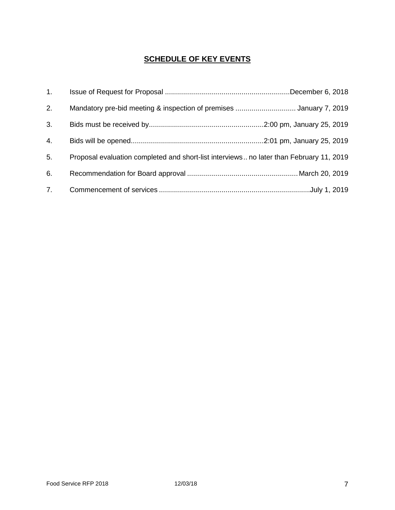## **SCHEDULE OF KEY EVENTS**

| 1 <sub>1</sub> |                                                                                         |  |
|----------------|-----------------------------------------------------------------------------------------|--|
| 2.             | Mandatory pre-bid meeting & inspection of premises January 7, 2019                      |  |
| 3.             |                                                                                         |  |
| 4.             |                                                                                         |  |
| 5.             | Proposal evaluation completed and short-list interviews no later than February 11, 2019 |  |
| 6.             |                                                                                         |  |
| 7.             |                                                                                         |  |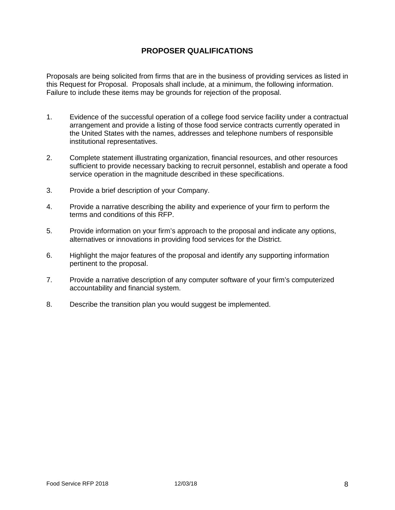## **PROPOSER QUALIFICATIONS**

Proposals are being solicited from firms that are in the business of providing services as listed in this Request for Proposal. Proposals shall include, at a minimum, the following information. Failure to include these items may be grounds for rejection of the proposal.

- 1. Evidence of the successful operation of a college food service facility under a contractual arrangement and provide a listing of those food service contracts currently operated in the United States with the names, addresses and telephone numbers of responsible institutional representatives.
- 2. Complete statement illustrating organization, financial resources, and other resources sufficient to provide necessary backing to recruit personnel, establish and operate a food service operation in the magnitude described in these specifications.
- 3. Provide a brief description of your Company.
- 4. Provide a narrative describing the ability and experience of your firm to perform the terms and conditions of this RFP.
- 5. Provide information on your firm's approach to the proposal and indicate any options, alternatives or innovations in providing food services for the District.
- 6. Highlight the major features of the proposal and identify any supporting information pertinent to the proposal.
- 7. Provide a narrative description of any computer software of your firm's computerized accountability and financial system.
- 8. Describe the transition plan you would suggest be implemented.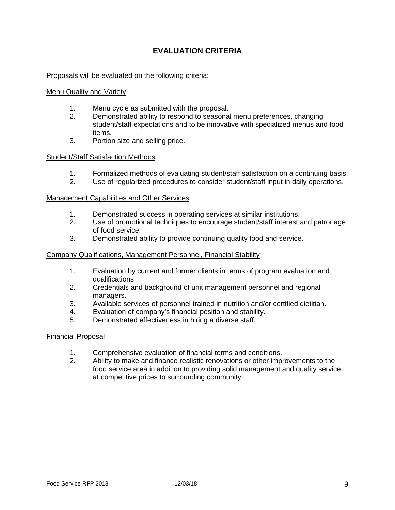## **EVALUATION CRITERIA**

Proposals will be evaluated on the following criteria:

#### **Menu Quality and Variety**

- 1. Menu cycle as submitted with the proposal.
- 2. Demonstrated ability to respond to seasonal menu preferences, changing student/staff expectations and to be innovative with specialized menus and food items.
- 3. Portion size and selling price.

#### Student/Staff Satisfaction Methods

- 1. Formalized methods of evaluating student/staff satisfaction on a continuing basis.<br>2. Use of regularized procedures to consider student/staff input in daily operations.
- Use of regularized procedures to consider student/staff input in daily operations.

#### Management Capabilities and Other Services

- 1. Demonstrated success in operating services at similar institutions.
- 2. Use of promotional techniques to encourage student/staff interest and patronage of food service.
- 3. Demonstrated ability to provide continuing quality food and service.

#### Company Qualifications, Management Personnel, Financial Stability

- 1. Evaluation by current and former clients in terms of program evaluation and qualifications
- 2. Credentials and background of unit management personnel and regional managers.
- 3. Available services of personnel trained in nutrition and/or certified dietitian.
- 4. Evaluation of company's financial position and stability.
- 5. Demonstrated effectiveness in hiring a diverse staff.

#### Financial Proposal

- 1. Comprehensive evaluation of financial terms and conditions.
- 2. Ability to make and finance realistic renovations or other improvements to the food service area in addition to providing solid management and quality service at competitive prices to surrounding community.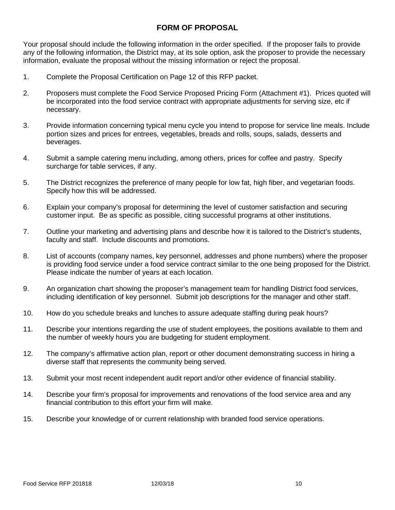## **FORM OF PROPOSAL**

Your proposal should include the following information in the order specified. If the proposer fails to provide any of the following information, the District may, at its sole option, ask the proposer to provide the necessary information, evaluate the proposal without the missing information or reject the proposal.

- 1. Complete the Proposal Certification on Page 12 of this RFP packet.
- 2. Proposers must complete the Food Service Proposed Pricing Form (Attachment #1). Prices quoted will be incorporated into the food service contract with appropriate adjustments for serving size, etc if necessary.
- 3. Provide information concerning typical menu cycle you intend to propose for service line meals. Include portion sizes and prices for entrees, vegetables, breads and rolls, soups, salads, desserts and beverages.
- 4. Submit a sample catering menu including, among others, prices for coffee and pastry. Specify surcharge for table services, if any.
- 5. The District recognizes the preference of many people for low fat, high fiber, and vegetarian foods. Specify how this will be addressed.
- 6. Explain your company's proposal for determining the level of customer satisfaction and securing customer input. Be as specific as possible, citing successful programs at other institutions.
- 7. Outline your marketing and advertising plans and describe how it is tailored to the District's students, faculty and staff. Include discounts and promotions.
- 8. List of accounts (company names, key personnel, addresses and phone numbers) where the proposer is providing food service under a food service contract similar to the one being proposed for the District. Please indicate the number of years at each location.
- 9. An organization chart showing the proposer's management team for handling District food services, including identification of key personnel. Submit job descriptions for the manager and other staff.
- 10. How do you schedule breaks and lunches to assure adequate staffing during peak hours?
- 11. Describe your intentions regarding the use of student employees, the positions available to them and the number of weekly hours you are budgeting for student employment.
- 12. The company's affirmative action plan, report or other document demonstrating success in hiring a diverse staff that represents the community being served.
- 13. Submit your most recent independent audit report and/or other evidence of financial stability.
- 14. Describe your firm's proposal for improvements and renovations of the food service area and any financial contribution to this effort your firm will make.
- 15. Describe your knowledge of or current relationship with branded food service operations.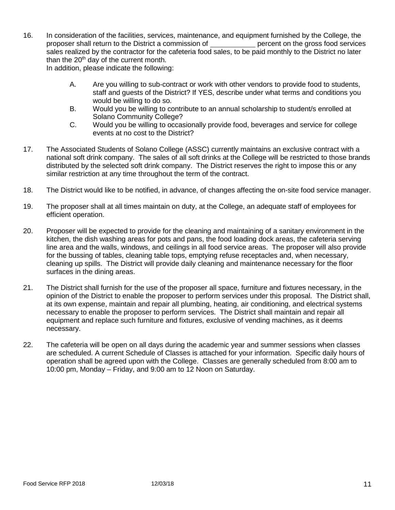16. In consideration of the facilities, services, maintenance, and equipment furnished by the College, the proposer shall return to the District a commission of percent on the gross food services sales realized by the contractor for the cafeteria food sales, to be paid monthly to the District no later than the  $20<sup>th</sup>$  day of the current month.

In addition, please indicate the following:

- A. Are you willing to sub-contract or work with other vendors to provide food to students, staff and guests of the District? If YES, describe under what terms and conditions you would be willing to do so.
- B. Would you be willing to contribute to an annual scholarship to student/s enrolled at Solano Community College?
- C. Would you be willing to occasionally provide food, beverages and service for college events at no cost to the District?
- 17. The Associated Students of Solano College (ASSC) currently maintains an exclusive contract with a national soft drink company. The sales of all soft drinks at the College will be restricted to those brands distributed by the selected soft drink company. The District reserves the right to impose this or any similar restriction at any time throughout the term of the contract.
- 18. The District would like to be notified, in advance, of changes affecting the on-site food service manager.
- 19. The proposer shall at all times maintain on duty, at the College, an adequate staff of employees for efficient operation.
- 20. Proposer will be expected to provide for the cleaning and maintaining of a sanitary environment in the kitchen, the dish washing areas for pots and pans, the food loading dock areas, the cafeteria serving line area and the walls, windows, and ceilings in all food service areas. The proposer will also provide for the bussing of tables, cleaning table tops, emptying refuse receptacles and, when necessary, cleaning up spills. The District will provide daily cleaning and maintenance necessary for the floor surfaces in the dining areas.
- 21. The District shall furnish for the use of the proposer all space, furniture and fixtures necessary, in the opinion of the District to enable the proposer to perform services under this proposal. The District shall, at its own expense, maintain and repair all plumbing, heating, air conditioning, and electrical systems necessary to enable the proposer to perform services. The District shall maintain and repair all equipment and replace such furniture and fixtures, exclusive of vending machines, as it deems necessary.
- 22. The cafeteria will be open on all days during the academic year and summer sessions when classes are scheduled. A current Schedule of Classes is attached for your information. Specific daily hours of operation shall be agreed upon with the College. Classes are generally scheduled from 8:00 am to 10:00 pm, Monday – Friday, and 9:00 am to 12 Noon on Saturday.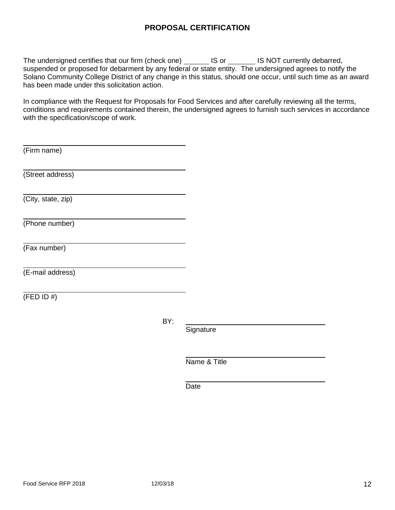## **PROPOSAL CERTIFICATION**

The undersigned certifies that our firm (check one) \_\_\_\_\_\_\_ IS or \_\_\_\_\_\_\_ IS NOT currently debarred, suspended or proposed for debarment by any federal or state entity. The undersigned agrees to notify the Solano Community College District of any change in this status, should one occur, until such time as an award has been made under this solicitation action.

In compliance with the Request for Proposals for Food Services and after carefully reviewing all the terms, conditions and requirements contained therein, the undersigned agrees to furnish such services in accordance with the specification/scope of work.

(Firm name)

(Street address)

(City, state, zip)

(Phone number)

(Fax number)

(E-mail address)

 $(FED ID #)$ 

BY:

**Signature** 

Name & Title

**Date**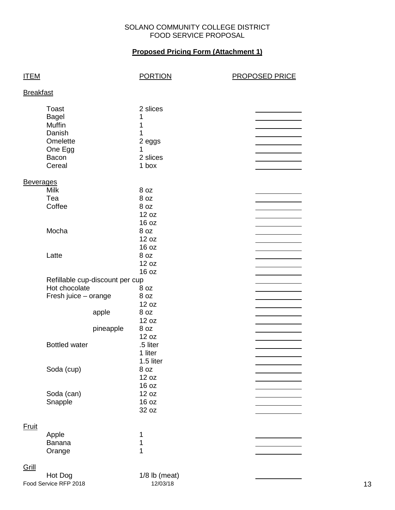#### SOLANO COMMUNITY COLLEGE DISTRICT FOOD SERVICE PROPOSAL

## **Proposed Pricing Form (Attachment 1)**

| <b>ITEM</b>      |                                                                                                   |                    | <b>PORTION</b>                                              | <b>PROPOSED PRICE</b> |
|------------------|---------------------------------------------------------------------------------------------------|--------------------|-------------------------------------------------------------|-----------------------|
| <b>Breakfast</b> |                                                                                                   |                    |                                                             |                       |
|                  | <b>Toast</b><br><b>Bagel</b><br><b>Muffin</b><br>Danish<br>Omelette<br>One Egg<br>Bacon<br>Cereal |                    | 2 slices<br>1<br>1<br>1<br>2 eggs<br>1<br>2 slices<br>1 box |                       |
| <b>Beverages</b> | <b>Milk</b><br>Tea<br>Coffee                                                                      |                    | 8 oz<br>8 oz<br>8 oz<br>12 oz<br>16 oz                      |                       |
|                  | Mocha                                                                                             |                    | 8 oz<br>12 oz<br>16 oz                                      |                       |
|                  | Latte                                                                                             |                    | 8 oz<br>12 oz<br>16 oz                                      |                       |
|                  | Refillable cup-discount per cup<br>Hot chocolate<br>Fresh juice - orange                          | apple<br>pineapple | 8 oz<br>8 oz<br>12 oz<br>8 oz<br>12 oz<br>8 oz<br>12 oz     |                       |
|                  | <b>Bottled water</b>                                                                              |                    | .5 liter<br>1 liter<br>1.5 liter                            |                       |
|                  | Soda (cup)                                                                                        |                    | 8 oz<br>12 oz<br>16 oz                                      |                       |
|                  | Soda (can)<br>Snapple                                                                             |                    | 12 oz<br>16 oz<br>32 oz                                     |                       |
| <b>Fruit</b>     | Apple<br>Banana<br>Orange                                                                         |                    | 1<br>1<br>1                                                 |                       |
| Grill            | Hot Dog                                                                                           |                    | $1/8$ lb (meat)                                             |                       |

Food Service RFP 2018 12/03/18 12/03/18 13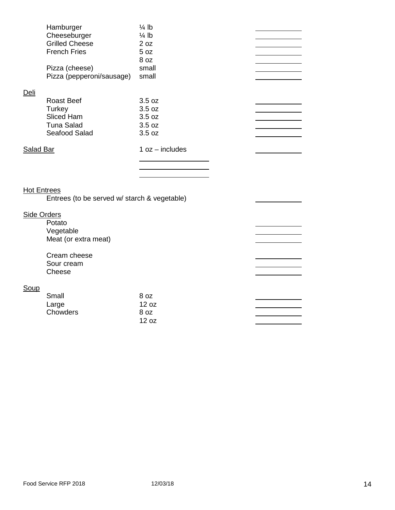|           | Hamburger                 | $\frac{1}{4}$ lb  |  |
|-----------|---------------------------|-------------------|--|
|           | Cheeseburger              | $\frac{1}{4}$ lb  |  |
|           | <b>Grilled Cheese</b>     | 2 oz              |  |
|           | <b>French Fries</b>       | 5 oz              |  |
|           |                           | 8 oz              |  |
|           | Pizza (cheese)            | small             |  |
|           | Pizza (pepperoni/sausage) | small             |  |
|           |                           |                   |  |
| Deli      |                           |                   |  |
|           | <b>Roast Beef</b>         | 3.5 oz            |  |
|           | Turkey                    | 3.5 oz            |  |
|           | Sliced Ham                | 3.5 oz            |  |
|           | <b>Tuna Salad</b>         | 3.5 oz            |  |
|           | Seafood Salad             | 3.5 oz            |  |
|           |                           |                   |  |
| Salad Bar |                           | $1 oz - includes$ |  |
|           |                           |                   |  |
|           |                           |                   |  |

 $\overline{\phantom{0}}$ 

 $\overline{\phantom{0}}$ 

 $\overline{\phantom{0}}$ 

## Hot Entrees

Entrees (to be served w/ starch & vegetable)

## Side Orders

**Potato** Vegetable Meat (or extra meat)

Cream cheese Sour cream Cheese

## **Soup**

| Small    | 8 oz  |
|----------|-------|
| Large    | 12 oz |
| Chowders | 8 oz  |
|          | 12 oz |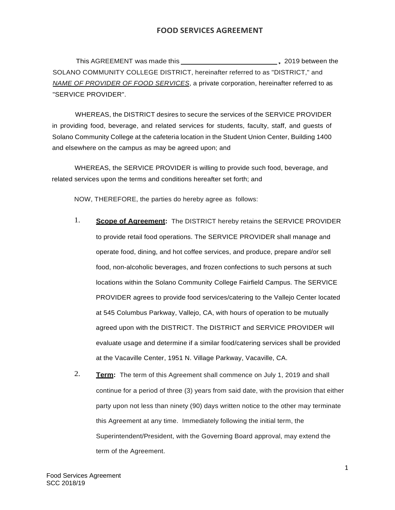This AGREEMENT was made this **the contract of the COV** and the set of the set of the set of the set of the set of the set of the set of the set of the set of the set of the set of the set of the set of the set of the set o SOLANO COMMUNITY COLLEGE DISTRICT, hereinafter referred to as "DISTRICT," and *NAME OF PROVIDER OF FOOD SERVICES*, a private corporation, hereinafter referred to as "SERVICE PROVIDER".

WHEREAS, the DISTRICT desires to secure the services of the SERVICE PROVIDER in providing food, beverage, and related services for students, faculty, staff, and guests of Solano Community College at the cafeteria location in the Student Union Center, Building 1400 and elsewhere on the campus as may be agreed upon; and

WHEREAS, the SERVICE PROVIDER is willing to provide such food, beverage, and related services upon the terms and conditions hereafter set forth; and

NOW, THEREFORE, the parties do hereby agree as follows:

- 1. **Scope of Agreement:** The DISTRICT hereby retains the SERVICE PROVIDER to provide retail food operations. The SERVICE PROVIDER shall manage and operate food, dining, and hot coffee services, and produce, prepare and/or sell food, non-alcoholic beverages, and frozen confections to such persons at such locations within the Solano Community College Fairfield Campus. The SERVICE PROVIDER agrees to provide food services/catering to the Vallejo Center located at 545 Columbus Parkway, Vallejo, CA, with hours of operation to be mutually agreed upon with the DISTRICT. The DISTRICT and SERVICE PROVIDER will evaluate usage and determine if a similar food/catering services shall be provided at the Vacaville Center, 1951 N. Village Parkway, Vacaville, CA.
- 2. **Term:** The term of this Agreement shall commence on July 1, 2019 and shall continue for a period of three (3) years from said date, with the provision that either party upon not less than ninety (90) days written notice to the other may terminate this Agreement at any time. Immediately following the initial term, the Superintendent/President, with the Governing Board approval, may extend the term of the Agreement.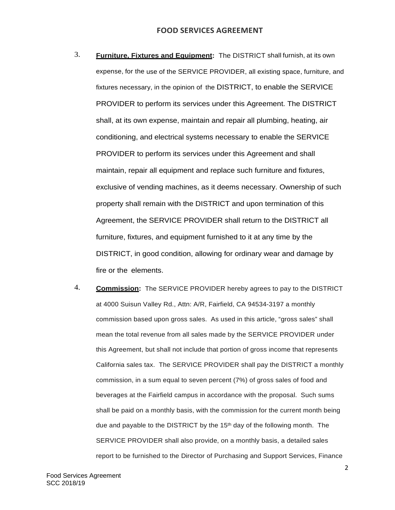- 3. **Furniture, Fixtures and Equipment:** The DISTRICT shall furnish, at its own expense, for the use of the SERVICE PROVIDER, all existing space, furniture, and fixtures necessary, in the opinion of the DISTRICT, to enable the SERVICE PROVIDER to perform its services under this Agreement. The DISTRICT shall, at its own expense, maintain and repair all plumbing, heating, air conditioning, and electrical systems necessary to enable the SERVICE PROVIDER to perform its services under this Agreement and shall maintain, repair all equipment and replace such furniture and fixtures, exclusive of vending machines, as it deems necessary. Ownership of such property shall remain with the DISTRICT and upon termination of this Agreement, the SERVICE PROVIDER shall return to the DISTRICT all furniture, fixtures, and equipment furnished to it at any time by the DISTRICT, in good condition, allowing for ordinary wear and damage by fire or the elements.
- 4. **Commission:** The SERVICE PROVIDER hereby agrees to pay to the DISTRICT at 4000 Suisun Valley Rd., Attn: A/R, Fairfield, CA 94534-3197 a monthly commission based upon gross sales. As used in this article, "gross sales" shall mean the total revenue from all sales made by the SERVICE PROVIDER under this Agreement, but shall not include that portion of gross income that represents California sales tax. The SERVICE PROVIDER shall pay the DISTRICT a monthly commission, in a sum equal to seven percent (7%) of gross sales of food and beverages at the Fairfield campus in accordance with the proposal. Such sums shall be paid on a monthly basis, with the commission for the current month being due and payable to the DISTRICT by the 15<sup>th</sup> day of the following month. The SERVICE PROVIDER shall also provide, on a monthly basis, a detailed sales report to be furnished to the Director of Purchasing and Support Services, Finance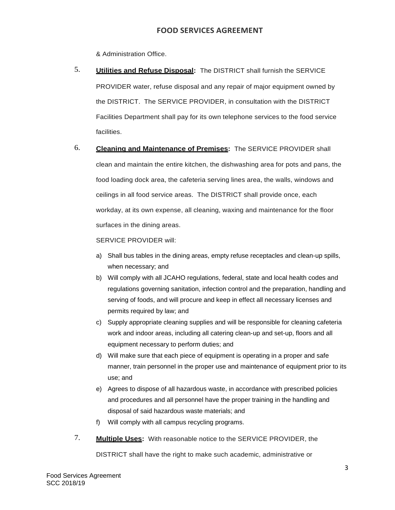& Administration Office.

- 5. **Utilities and Refuse Disposal:** The DISTRICT shall furnish the SERVICE PROVIDER water, refuse disposal and any repair of major equipment owned by the DISTRICT. The SERVICE PROVIDER, in consultation with the DISTRICT Facilities Department shall pay for its own telephone services to the food service facilities.
- 6. **Cleaning and Maintenance of Premises:** The SERVICE PROVIDER shall clean and maintain the entire kitchen, the dishwashing area for pots and pans, the food loading dock area, the cafeteria serving lines area, the walls, windows and ceilings in all food service areas. The DISTRICT shall provide once, each workday, at its own expense, all cleaning, waxing and maintenance for the floor surfaces in the dining areas.

SERVICE PROVIDER will:

- a) Shall bus tables in the dining areas, empty refuse receptacles and clean-up spills, when necessary; and
- b) Will comply with all JCAHO regulations, federal, state and local health codes and regulations governing sanitation, infection control and the preparation, handling and serving of foods, and will procure and keep in effect all necessary licenses and permits required by law; and
- c) Supply appropriate cleaning supplies and will be responsible for cleaning cafeteria work and indoor areas, including all catering clean-up and set-up, floors and all equipment necessary to perform duties; and
- d) Will make sure that each piece of equipment is operating in a proper and safe manner, train personnel in the proper use and maintenance of equipment prior to its use; and
- e) Agrees to dispose of all hazardous waste, in accordance with prescribed policies and procedures and all personnel have the proper training in the handling and disposal of said hazardous waste materials; and
- f) Will comply with all campus recycling programs.
- 7. **Multiple Uses:** With reasonable notice to the SERVICE PROVIDER, the

DISTRICT shall have the right to make such academic, administrative or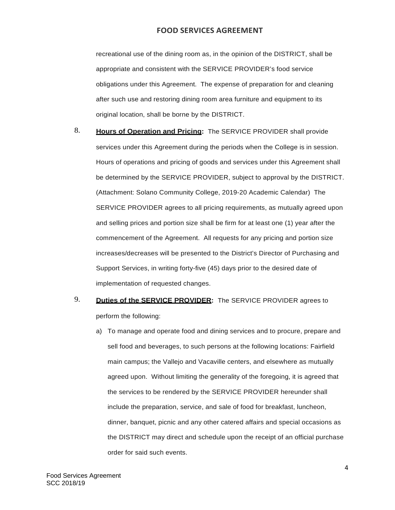recreational use of the dining room as, in the opinion of the DISTRICT, shall be appropriate and consistent with the SERVICE PROVIDER's food service obligations under this Agreement. The expense of preparation for and cleaning after such use and restoring dining room area furniture and equipment to its original location, shall be borne by the DISTRICT.

- 8. **Hours of Operation and Pricing:** The SERVICE PROVIDER shall provide services under this Agreement during the periods when the College is in session. Hours of operations and pricing of goods and services under this Agreement shall be determined by the SERVICE PROVIDER, subject to approval by the DISTRICT. (Attachment: Solano Community College, 2019-20 Academic Calendar) The SERVICE PROVIDER agrees to all pricing requirements, as mutually agreed upon and selling prices and portion size shall be firm for at least one (1) year after the commencement of the Agreement. All requests for any pricing and portion size increases/decreases will be presented to the District's Director of Purchasing and Support Services, in writing forty-five (45) days prior to the desired date of implementation of requested changes.
- 9. **Duties of the SERVICE PROVIDER:** The SERVICE PROVIDER agrees to perform the following:
	- a) To manage and operate food and dining services and to procure, prepare and sell food and beverages, to such persons at the following locations: Fairfield main campus; the Vallejo and Vacaville centers, and elsewhere as mutually agreed upon. Without limiting the generality of the foregoing, it is agreed that the services to be rendered by the SERVICE PROVIDER hereunder shall include the preparation, service, and sale of food for breakfast, luncheon, dinner, banquet, picnic and any other catered affairs and special occasions as the DISTRICT may direct and schedule upon the receipt of an official purchase order for said such events.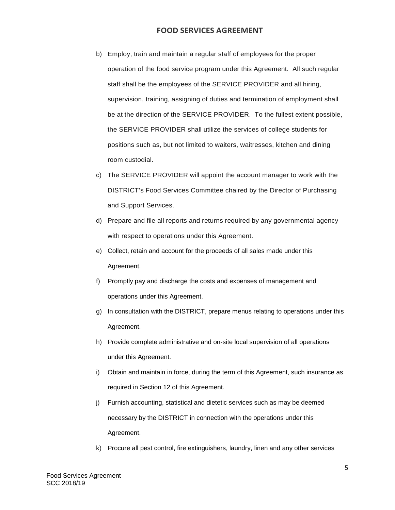- b) Employ, train and maintain a regular staff of employees for the proper operation of the food service program under this Agreement. All such regular staff shall be the employees of the SERVICE PROVIDER and all hiring, supervision, training, assigning of duties and termination of employment shall be at the direction of the SERVICE PROVIDER. To the fullest extent possible, the SERVICE PROVIDER shall utilize the services of college students for positions such as, but not limited to waiters, waitresses, kitchen and dining room custodial.
- c) The SERVICE PROVIDER will appoint the account manager to work with the DISTRICT's Food Services Committee chaired by the Director of Purchasing and Support Services.
- d) Prepare and file all reports and returns required by any governmental agency with respect to operations under this Agreement.
- e) Collect, retain and account for the proceeds of all sales made under this Agreement.
- f) Promptly pay and discharge the costs and expenses of management and operations under this Agreement.
- g) In consultation with the DISTRICT, prepare menus relating to operations under this Agreement.
- h) Provide complete administrative and on-site local supervision of all operations under this Agreement.
- i) Obtain and maintain in force, during the term of this Agreement, such insurance as required in Section 12 of this Agreement.
- j) Furnish accounting, statistical and dietetic services such as may be deemed necessary by the DISTRICT in connection with the operations under this Agreement.
- k) Procure all pest control, fire extinguishers, laundry, linen and any other services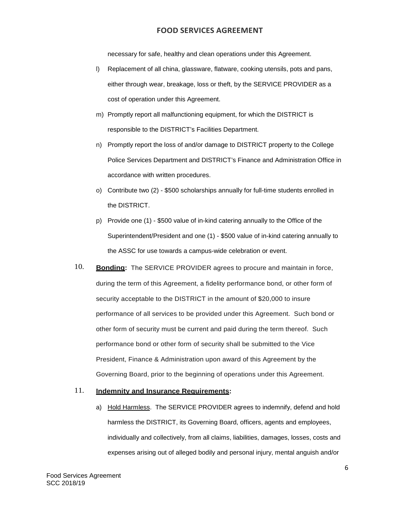necessary for safe, healthy and clean operations under this Agreement.

- l) Replacement of all china, glassware, flatware, cooking utensils, pots and pans, either through wear, breakage, loss or theft, by the SERVICE PROVIDER as a cost of operation under this Agreement.
- m) Promptly report all malfunctioning equipment, for which the DISTRICT is responsible to the DISTRICT's Facilities Department.
- n) Promptly report the loss of and/or damage to DISTRICT property to the College Police Services Department and DISTRICT's Finance and Administration Office in accordance with written procedures.
- o) Contribute two (2) \$500 scholarships annually for full-time students enrolled in the DISTRICT.
- p) Provide one (1) \$500 value of in-kind catering annually to the Office of the Superintendent/President and one (1) - \$500 value of in-kind catering annually to the ASSC for use towards a campus-wide celebration or event.
- 10. **Bonding:** The SERVICE PROVIDER agrees to procure and maintain in force, during the term of this Agreement, a fidelity performance bond, or other form of security acceptable to the DISTRICT in the amount of \$20,000 to insure performance of all services to be provided under this Agreement. Such bond or other form of security must be current and paid during the term thereof. Such performance bond or other form of security shall be submitted to the Vice President, Finance & Administration upon award of this Agreement by the Governing Board, prior to the beginning of operations under this Agreement.

#### 11. **Indemnity and Insurance Requirements:**

a) Hold Harmless. The SERVICE PROVIDER agrees to indemnify, defend and hold harmless the DISTRICT, its Governing Board, officers, agents and employees, individually and collectively, from all claims, liabilities, damages, losses, costs and expenses arising out of alleged bodily and personal injury, mental anguish and/or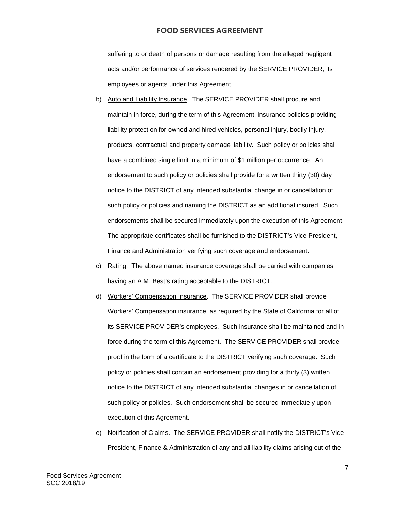suffering to or death of persons or damage resulting from the alleged negligent acts and/or performance of services rendered by the SERVICE PROVIDER, its employees or agents under this Agreement.

- b) Auto and Liability Insurance. The SERVICE PROVIDER shall procure and maintain in force, during the term of this Agreement, insurance policies providing liability protection for owned and hired vehicles, personal injury, bodily injury, products, contractual and property damage liability. Such policy or policies shall have a combined single limit in a minimum of \$1 million per occurrence. An endorsement to such policy or policies shall provide for a written thirty (30) day notice to the DISTRICT of any intended substantial change in or cancellation of such policy or policies and naming the DISTRICT as an additional insured. Such endorsements shall be secured immediately upon the execution of this Agreement. The appropriate certificates shall be furnished to the DISTRICT's Vice President, Finance and Administration verifying such coverage and endorsement.
- c) Rating. The above named insurance coverage shall be carried with companies having an A.M. Best's rating acceptable to the DISTRICT.
- d) Workers' Compensation Insurance. The SERVICE PROVIDER shall provide Workers' Compensation insurance, as required by the State of California for all of its SERVICE PROVIDER's employees. Such insurance shall be maintained and in force during the term of this Agreement. The SERVICE PROVIDER shall provide proof in the form of a certificate to the DISTRICT verifying such coverage. Such policy or policies shall contain an endorsement providing for a thirty (3) written notice to the DISTRICT of any intended substantial changes in or cancellation of such policy or policies. Such endorsement shall be secured immediately upon execution of this Agreement.
- e) Notification of Claims. The SERVICE PROVIDER shall notify the DISTRICT's Vice President, Finance & Administration of any and all liability claims arising out of the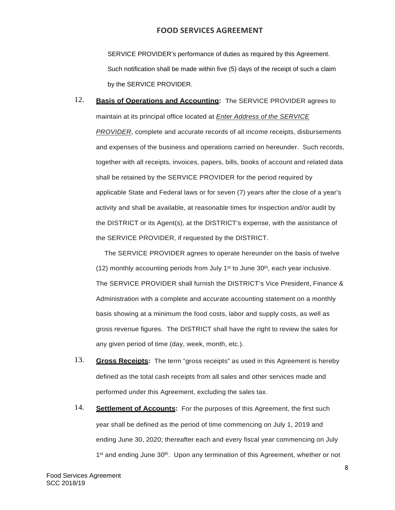SERVICE PROVIDER's performance of duties as required by this Agreement. Such notification shall be made within five (5) days of the receipt of such a claim by the SERVICE PROVIDER.

# 12. **Basis of Operations and Accounting:** The SERVICE PROVIDER agrees to maintain at its principal office located at *Enter Address of the SERVICE PROVIDER*, complete and accurate records of all income receipts, disbursements and expenses of the business and operations carried on hereunder. Such records, together with all receipts, invoices, papers, bills, books of account and related data shall be retained by the SERVICE PROVIDER for the period required by applicable State and Federal laws or for seven (7) years after the close of a year's activity and shall be available, at reasonable times for inspection and/or audit by the DISTRICT or its Agent(s), at the DISTRICT's expense, with the assistance of the SERVICE PROVIDER, if requested by the DISTRICT.

The SERVICE PROVIDER agrees to operate hereunder on the basis of twelve (12) monthly accounting periods from July 1<sup>st</sup> to June  $30<sup>th</sup>$ , each year inclusive. The SERVICE PROVIDER shall furnish the DISTRICT's Vice President, Finance & Administration with a complete and accurate accounting statement on a monthly basis showing at a minimum the food costs, labor and supply costs, as well as gross revenue figures. The DISTRICT shall have the right to review the sales for any given period of time (day, week, month, etc.).

- 13. **Gross Receipts:** The term "gross receipts" as used in this Agreement is hereby defined as the total cash receipts from all sales and other services made and performed under this Agreement, excluding the sales tax.
- 14. **Settlement of Accounts:** For the purposes of this Agreement, the first such year shall be defined as the period of time commencing on July 1, 2019 and ending June 30, 2020; thereafter each and every fiscal year commencing on July 1<sup>st</sup> and ending June 30<sup>th</sup>. Upon any termination of this Agreement, whether or not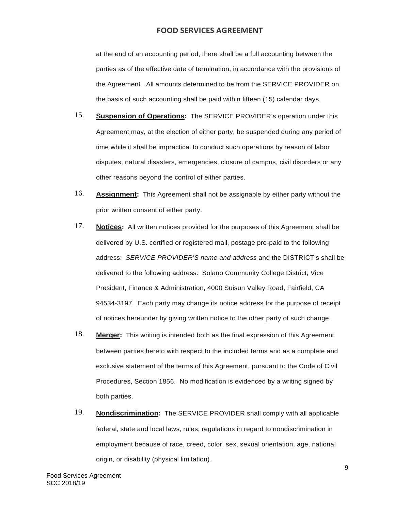at the end of an accounting period, there shall be a full accounting between the parties as of the effective date of termination, in accordance with the provisions of the Agreement. All amounts determined to be from the SERVICE PROVIDER on the basis of such accounting shall be paid within fifteen (15) calendar days.

- 15. **Suspension of Operations:** The SERVICE PROVIDER's operation under this Agreement may, at the election of either party, be suspended during any period of time while it shall be impractical to conduct such operations by reason of labor disputes, natural disasters, emergencies, closure of campus, civil disorders or any other reasons beyond the control of either parties.
- 16. **Assignment:** This Agreement shall not be assignable by either party without the prior written consent of either party.
- 17. **Notices:** All written notices provided for the purposes of this Agreement shall be delivered by U.S. certified or registered mail, postage pre-paid to the following address: *SERVICE PROVIDER'S name and address* and the DISTRICT's shall be delivered to the following address: Solano Community College District, Vice President, Finance & Administration, 4000 Suisun Valley Road, Fairfield, CA 94534-3197. Each party may change its notice address for the purpose of receipt of notices hereunder by giving written notice to the other party of such change.
- 18. **Merger:** This writing is intended both as the final expression of this Agreement between parties hereto with respect to the included terms and as a complete and exclusive statement of the terms of this Agreement, pursuant to the Code of Civil Procedures, Section 1856. No modification is evidenced by a writing signed by both parties.
- 19. **Nondiscrimination:** The SERVICE PROVIDER shall comply with all applicable federal, state and local laws, rules, regulations in regard to nondiscrimination in employment because of race, creed, color, sex, sexual orientation, age, national origin, or disability (physical limitation).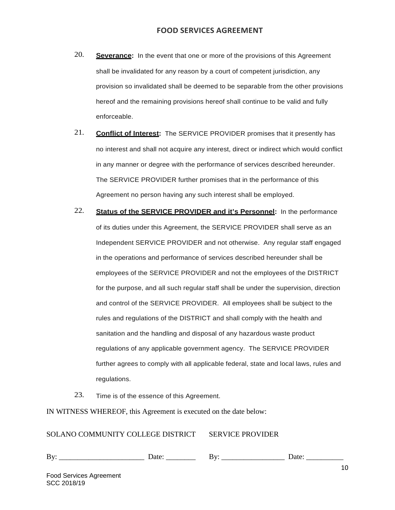- 20. **Severance:** In the event that one or more of the provisions of this Agreement shall be invalidated for any reason by a court of competent jurisdiction, any provision so invalidated shall be deemed to be separable from the other provisions hereof and the remaining provisions hereof shall continue to be valid and fully enforceable.
- 21. **Conflict of Interest:** The SERVICE PROVIDER promises that it presently has no interest and shall not acquire any interest, direct or indirect which would conflict in any manner or degree with the performance of services described hereunder. The SERVICE PROVIDER further promises that in the performance of this Agreement no person having any such interest shall be employed.
- 22. **Status of the SERVICE PROVIDER and it's Personnel:** In the performance of its duties under this Agreement, the SERVICE PROVIDER shall serve as an Independent SERVICE PROVIDER and not otherwise. Any regular staff engaged in the operations and performance of services described hereunder shall be employees of the SERVICE PROVIDER and not the employees of the DISTRICT for the purpose, and all such regular staff shall be under the supervision, direction and control of the SERVICE PROVIDER. All employees shall be subject to the rules and regulations of the DISTRICT and shall comply with the health and sanitation and the handling and disposal of any hazardous waste product regulations of any applicable government agency. The SERVICE PROVIDER further agrees to comply with all applicable federal, state and local laws, rules and regulations.
- 23. Time is of the essence of this Agreement.

IN WITNESS WHEREOF, this Agreement is executed on the date below:

#### SOLANO COMMUNITY COLLEGE DISTRICT SERVICE PROVIDER

| –<br> |  |  |  |  |
|-------|--|--|--|--|
|-------|--|--|--|--|

Food Services Agreement SCC 2018/19